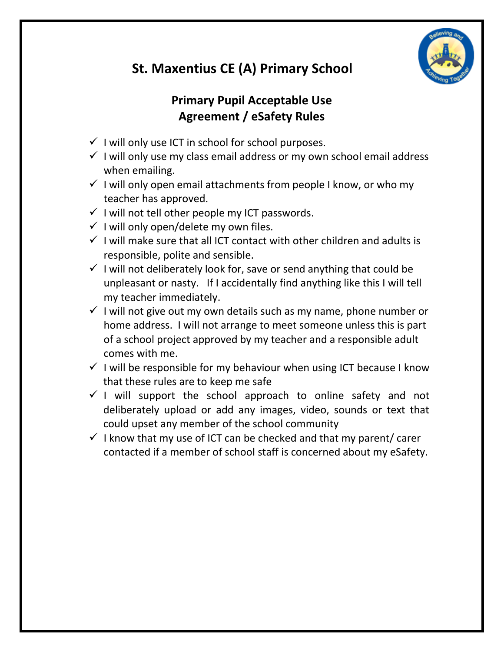

# **St. Maxentius CE (A) Primary School**

## **Primary Pupil Acceptable Use Agreement / eSafety Rules**

- $\checkmark$  I will only use ICT in school for school purposes.
- $\checkmark$  I will only use my class email address or my own school email address when emailing.
- $\checkmark$  I will only open email attachments from people I know, or who my teacher has approved.
- $\checkmark$  I will not tell other people my ICT passwords.
- $\checkmark$  I will only open/delete my own files.
- $\checkmark$  I will make sure that all ICT contact with other children and adults is responsible, polite and sensible.
- $\checkmark$  I will not deliberately look for, save or send anything that could be unpleasant or nasty. If I accidentally find anything like this I will tell my teacher immediately.
- $\checkmark$  I will not give out my own details such as my name, phone number or home address. I will not arrange to meet someone unless this is part of a school project approved by my teacher and a responsible adult comes with me.
- $\checkmark$  I will be responsible for my behaviour when using ICT because I know that these rules are to keep me safe
- $\checkmark$  I will support the school approach to online safety and not deliberately upload or add any images, video, sounds or text that could upset any member of the school community
- $\checkmark$  I know that my use of ICT can be checked and that my parent/ carer contacted if a member of school staff is concerned about my eSafety.